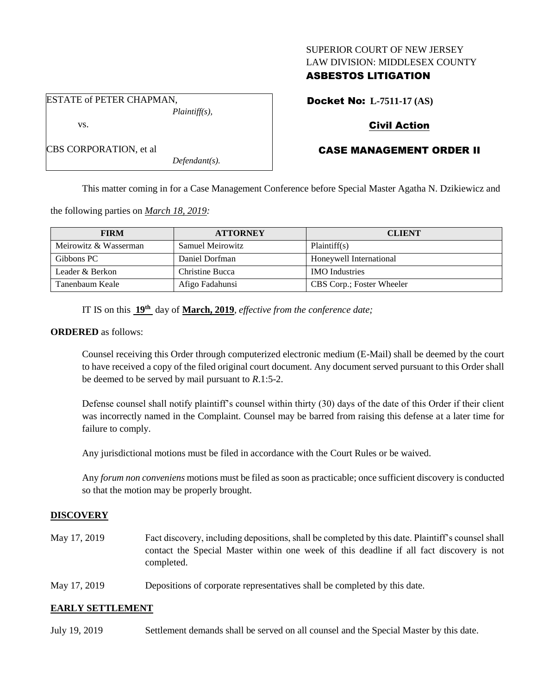### SUPERIOR COURT OF NEW JERSEY LAW DIVISION: MIDDLESEX COUNTY

### ASBESTOS LITIGATION

ESTATE of PETER CHAPMAN, *Plaintiff(s),*

vs.

CBS CORPORATION, et al

Docket No: **L-7511-17 (AS)**

# Civil Action

# CASE MANAGEMENT ORDER II

*Defendant(s).*

This matter coming in for a Case Management Conference before Special Master Agatha N. Dzikiewicz and

the following parties on *March 18, 2019:*

| <b>FIRM</b>           | <b>ATTORNEY</b>  | <b>CLIENT</b>             |
|-----------------------|------------------|---------------------------|
| Meirowitz & Wasserman | Samuel Meirowitz | Plaintiff(s)              |
| Gibbons PC            | Daniel Dorfman   | Honeywell International   |
| Leader & Berkon       | Christine Bucca  | <b>IMO</b> Industries     |
| Tanenbaum Keale       | Afigo Fadahunsi  | CBS Corp.; Foster Wheeler |

IT IS on this **19th** day of **March, 2019**, *effective from the conference date;*

### **ORDERED** as follows:

Counsel receiving this Order through computerized electronic medium (E-Mail) shall be deemed by the court to have received a copy of the filed original court document. Any document served pursuant to this Order shall be deemed to be served by mail pursuant to *R*.1:5-2.

Defense counsel shall notify plaintiff's counsel within thirty (30) days of the date of this Order if their client was incorrectly named in the Complaint. Counsel may be barred from raising this defense at a later time for failure to comply.

Any jurisdictional motions must be filed in accordance with the Court Rules or be waived.

Any *forum non conveniens* motions must be filed as soon as practicable; once sufficient discovery is conducted so that the motion may be properly brought.

## **DISCOVERY**

- May 17, 2019 Fact discovery, including depositions, shall be completed by this date. Plaintiff's counsel shall contact the Special Master within one week of this deadline if all fact discovery is not completed.
- May 17, 2019 Depositions of corporate representatives shall be completed by this date.

## **EARLY SETTLEMENT**

July 19, 2019 Settlement demands shall be served on all counsel and the Special Master by this date.